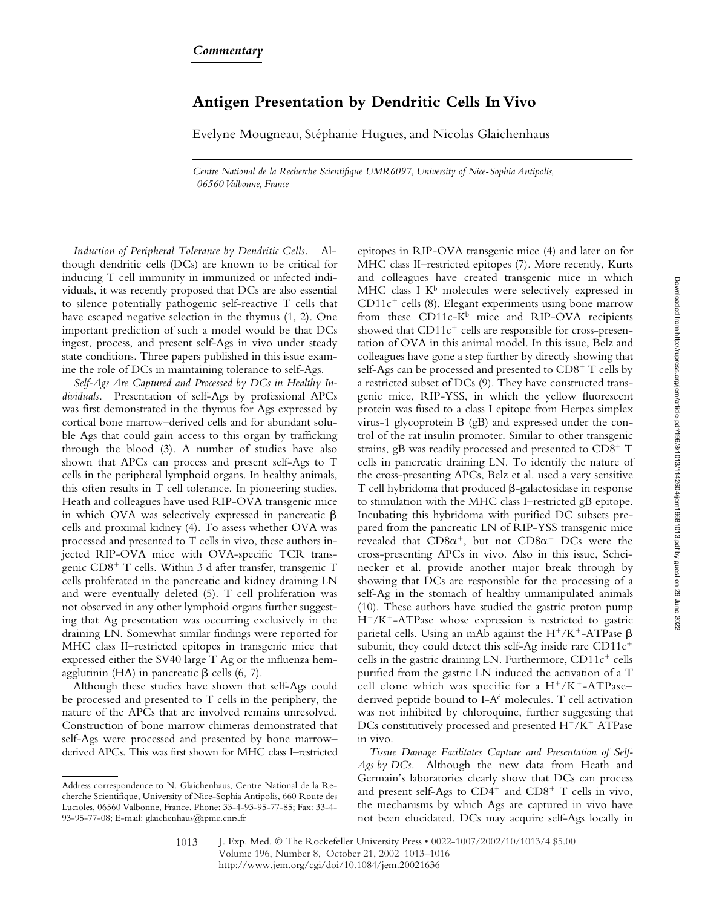## **Antigen Presentation by Dendritic Cells In Vivo**

Evelyne Mougneau, Stéphanie Hugues, and Nicolas Glaichenhaus

*Centre National de la Recherche Scientifique UMR6097, University of Nice-Sophia Antipolis, 06560 Valbonne, France*

*Induction of Peripheral Tolerance by Dendritic Cells.* Although dendritic cells (DCs) are known to be critical for inducing T cell immunity in immunized or infected individuals, it was recently proposed that DCs are also essential to silence potentially pathogenic self-reactive T cells that have escaped negative selection in the thymus (1, 2). One important prediction of such a model would be that DCs ingest, process, and present self-Ags in vivo under steady state conditions. Three papers published in this issue examine the role of DCs in maintaining tolerance to self-Ags.

*Self-Ags Are Captured and Processed by DCs in Healthy Individuals.* Presentation of self-Ags by professional APCs was first demonstrated in the thymus for Ags expressed by cortical bone marrow–derived cells and for abundant soluble Ags that could gain access to this organ by trafficking through the blood (3). A number of studies have also shown that APCs can process and present self-Ags to T cells in the peripheral lymphoid organs. In healthy animals, this often results in T cell tolerance. In pioneering studies, Heath and colleagues have used RIP-OVA transgenic mice in which OVA was selectively expressed in pancreatic  $\beta$ cells and proximal kidney (4). To assess whether OVA was processed and presented to T cells in vivo, these authors injected RIP-OVA mice with OVA-specific TCR transgenic CD8<sup>+</sup> T cells. Within 3 d after transfer, transgenic T cells proliferated in the pancreatic and kidney draining LN and were eventually deleted (5). T cell proliferation was not observed in any other lymphoid organs further suggesting that Ag presentation was occurring exclusively in the draining LN. Somewhat similar findings were reported for MHC class II–restricted epitopes in transgenic mice that expressed either the SV40 large T Ag or the influenza hemagglutinin (HA) in pancreatic  $\beta$  cells (6, 7).

Although these studies have shown that self-Ags could be processed and presented to T cells in the periphery, the nature of the APCs that are involved remains unresolved. Construction of bone marrow chimeras demonstrated that self-Ags were processed and presented by bone marrow– derived APCs. This was first shown for MHC class I–restricted epitopes in RIP-OVA transgenic mice (4) and later on for MHC class II–restricted epitopes (7). More recently, Kurts and colleagues have created transgenic mice in which MHC class I  $K^b$  molecules were selectively expressed in  $CD11c<sup>+</sup>$  cells (8). Elegant experiments using bone marrow from these  $CD11c-K^b$  mice and RIP-OVA recipients showed that  $CD11c^+$  cells are responsible for cross-presentation of OVA in this animal model. In this issue, Belz and colleagues have gone a step further by directly showing that self-Ags can be processed and presented to  $CD8<sup>+</sup>$  T cells by a restricted subset of DCs (9). They have constructed transgenic mice, RIP-YSS, in which the yellow fluorescent protein was fused to a class I epitope from Herpes simplex virus-1 glycoprotein B (gB) and expressed under the control of the rat insulin promoter. Similar to other transgenic strains, gB was readily processed and presented to  $CD8<sup>+</sup>$  T cells in pancreatic draining LN. To identify the nature of the cross-presenting APCs, Belz et al. used a very sensitive  $T$  cell hybridoma that produced  $\beta$ -galactosidase in response to stimulation with the MHC class I–restricted gB epitope. Incubating this hybridoma with purified DC subsets prepared from the pancreatic LN of RIP-YSS transgenic mice revealed that  $CD8\alpha^+$ , but not  $CD8\alpha^-$  DCs were the cross-presenting APCs in vivo*.* Also in this issue, Scheinecker et al. provide another major break through by showing that DCs are responsible for the processing of a self-Ag in the stomach of healthy unmanipulated animals (10). These authors have studied the gastric proton pump  $H^+/K^+$ -ATPase whose expression is restricted to gastric parietal cells. Using an mAb against the  $H^+/K^+$ -ATPase  $\beta$ subunit, they could detect this self-Ag inside rare  $CD11c^+$ cells in the gastric draining LN. Furthermore,  $CD11c^{+}$  cells purified from the gastric LN induced the activation of a T cell clone which was specific for a  $H^+/K^+$ -ATPase– derived peptide bound to I- $A<sup>d</sup>$  molecules. T cell activation was not inhibited by chloroquine, further suggesting that DCs constitutively processed and presented  $H^+/K^+$  ATPase in vivo.

*Tissue Damage Facilitates Capture and Presentation of Self-Ags by DCs.* Although the new data from Heath and Germain's laboratories clearly show that DCs can process and present self-Ags to  $CD4^+$  and  $CD8^+$  T cells in vivo, the mechanisms by which Ags are captured in vivo have not been elucidated. DCs may acquire self-Ags locally in

Address correspondence to N. Glaichenhaus, Centre National de la Recherche Scientifique, University of Nice-Sophia Antipolis, 660 Route des Lucioles, 06560 Valbonne, France. Phone: 33-4-93-95-77-85; Fax: 33-4- 93-95-77-08; E-mail: glaichenhaus@ipmc.cnrs.fr

J. Exp. Med. © The Rockefeller University Press • 0022-1007/2002/10/1013/4 \$5.00 Volume 196, Number 8, October 21, 2002 1013–1016 http://www.jem.org/cgi/doi/10.1084/jem.20021636 1013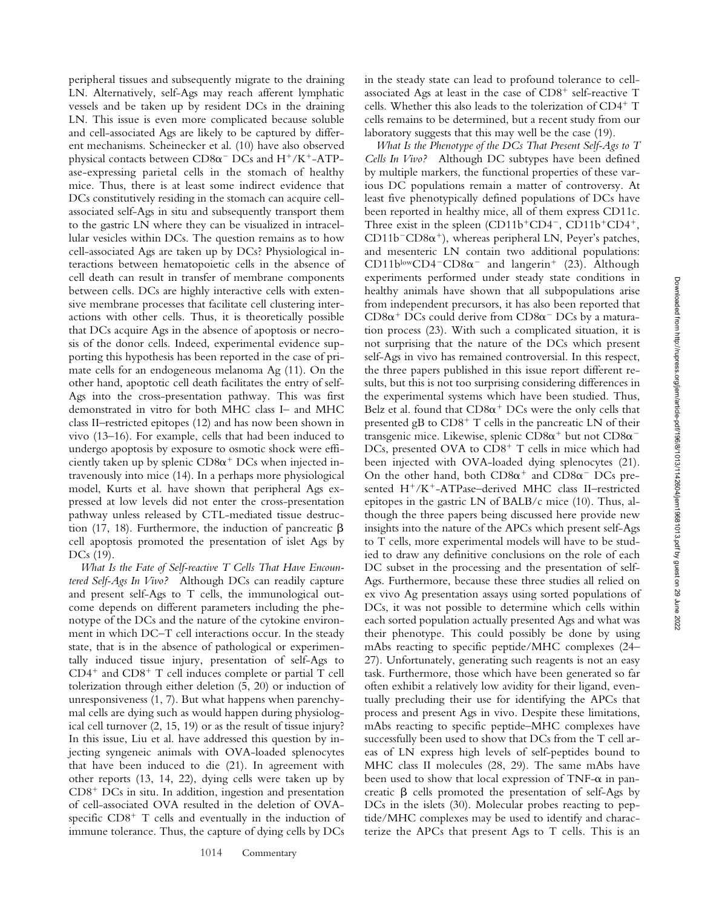peripheral tissues and subsequently migrate to the draining LN. Alternatively, self-Ags may reach afferent lymphatic vessels and be taken up by resident DCs in the draining LN. This issue is even more complicated because soluble and cell-associated Ags are likely to be captured by different mechanisms. Scheinecker et al. (10) have also observed physical contacts between  $CD8\alpha$ <sup>-</sup> DCs and H<sup>+</sup>/K<sup>+</sup>-ATPase-expressing parietal cells in the stomach of healthy mice. Thus, there is at least some indirect evidence that DCs constitutively residing in the stomach can acquire cellassociated self-Ags in situ and subsequently transport them to the gastric LN where they can be visualized in intracellular vesicles within DCs. The question remains as to how cell-associated Ags are taken up by DCs? Physiological interactions between hematopoietic cells in the absence of cell death can result in transfer of membrane components between cells. DCs are highly interactive cells with extensive membrane processes that facilitate cell clustering interactions with other cells. Thus, it is theoretically possible that DCs acquire Ags in the absence of apoptosis or necrosis of the donor cells. Indeed, experimental evidence supporting this hypothesis has been reported in the case of primate cells for an endogeneous melanoma Ag (11). On the other hand, apoptotic cell death facilitates the entry of self-Ags into the cross-presentation pathway. This was first demonstrated in vitro for both MHC class I– and MHC class II–restricted epitopes (12) and has now been shown in vivo (13–16). For example, cells that had been induced to undergo apoptosis by exposure to osmotic shock were efficiently taken up by splenic  $CD8\alpha^+$  DCs when injected intravenously into mice (14). In a perhaps more physiological model, Kurts et al. have shown that peripheral Ags expressed at low levels did not enter the cross-presentation pathway unless released by CTL-mediated tissue destruction (17, 18). Furthermore, the induction of pancreatic  $\beta$ cell apoptosis promoted the presentation of islet Ags by DCs (19).

*What Is the Fate of Self-reactive T Cells That Have Encountered Self-Ags In Vivo?* Although DCs can readily capture and present self-Ags to T cells, the immunological outcome depends on different parameters including the phenotype of the DCs and the nature of the cytokine environment in which DC–T cell interactions occur. In the steady state, that is in the absence of pathological or experimentally induced tissue injury, presentation of self-Ags to  $CD4^+$  and  $CD8^+$  T cell induces complete or partial T cell tolerization through either deletion (5, 20) or induction of unresponsiveness (1, 7). But what happens when parenchymal cells are dying such as would happen during physiological cell turnover (2, 15, 19) or as the result of tissue injury? In this issue, Liu et al. have addressed this question by injecting syngeneic animals with OVA-loaded splenocytes that have been induced to die (21). In agreement with other reports (13, 14, 22), dying cells were taken up by  $CD8<sup>+</sup> DCs$  in situ. In addition, ingestion and presentation of cell-associated OVA resulted in the deletion of OVAspecific  $CD8<sup>+</sup>$  T cells and eventually in the induction of immune tolerance. Thus, the capture of dying cells by DCs

in the steady state can lead to profound tolerance to cellassociated Ags at least in the case of  $CD8<sup>+</sup>$  self-reactive T cells. Whether this also leads to the tolerization of  $CD4^+$  T cells remains to be determined, but a recent study from our laboratory suggests that this may well be the case (19).

*What Is the Phenotype of the DCs That Present Self-Ags to T Cells In Vivo?* Although DC subtypes have been defined by multiple markers, the functional properties of these various DC populations remain a matter of controversy. At least five phenotypically defined populations of DCs have been reported in healthy mice, all of them express CD11c. Three exist in the spleen  $(CD11b^+CD4^-$ ,  $CD11b^+CD4^+$ ,  $CD11b$ <sup>-</sup> $CD8\alpha$ <sup>+</sup>), whereas peripheral LN, Peyer's patches, and mesenteric LN contain two additional populations:  $CD11b^{\text{low}}CD4$ <sup>-</sup> $CD8\alpha$ <sup>-</sup> and langerin<sup>+</sup> (23). Although experiments performed under steady state conditions in healthy animals have shown that all subpopulations arise from independent precursors, it has also been reported that  $CD8\alpha^+$  DCs could derive from  $CD8\alpha^-$  DCs by a maturation process (23). With such a complicated situation, it is not surprising that the nature of the DCs which present self-Ags in vivo has remained controversial. In this respect, the three papers published in this issue report different results, but this is not too surprising considering differences in the experimental systems which have been studied. Thus, Belz et al. found that  $CD8\alpha^+$  DCs were the only cells that presented gB to  $CD8<sup>+</sup>$  T cells in the pancreatic LN of their transgenic mice. Likewise, splenic CD8 $\alpha^+$  but not CD8 $\alpha^-$ DCs, presented OVA to  $CD8<sup>+</sup>$  T cells in mice which had been injected with OVA-loaded dying splenocytes (21). On the other hand, both  $CD8\alpha^+$  and  $CD8\alpha^-$  DCs presented H<sup>+</sup>/K<sup>+</sup>-ATPase-derived MHC class II-restricted epitopes in the gastric LN of BALB/c mice (10). Thus, although the three papers being discussed here provide new insights into the nature of the APCs which present self-Ags to T cells, more experimental models will have to be studied to draw any definitive conclusions on the role of each DC subset in the processing and the presentation of self-Ags. Furthermore, because these three studies all relied on ex vivo Ag presentation assays using sorted populations of DCs, it was not possible to determine which cells within each sorted population actually presented Ags and what was their phenotype. This could possibly be done by using mAbs reacting to specific peptide/MHC complexes (24– 27). Unfortunately, generating such reagents is not an easy task. Furthermore, those which have been generated so far often exhibit a relatively low avidity for their ligand, eventually precluding their use for identifying the APCs that process and present Ags in vivo. Despite these limitations, mAbs reacting to specific peptide–MHC complexes have successfully been used to show that DCs from the T cell areas of LN express high levels of self-peptides bound to MHC class II molecules (28, 29). The same mAbs have been used to show that local expression of TNF- $\alpha$  in pancreatic  $\beta$  cells promoted the presentation of self-Ags by DCs in the islets (30). Molecular probes reacting to peptide/MHC complexes may be used to identify and characterize the APCs that present Ags to T cells. This is an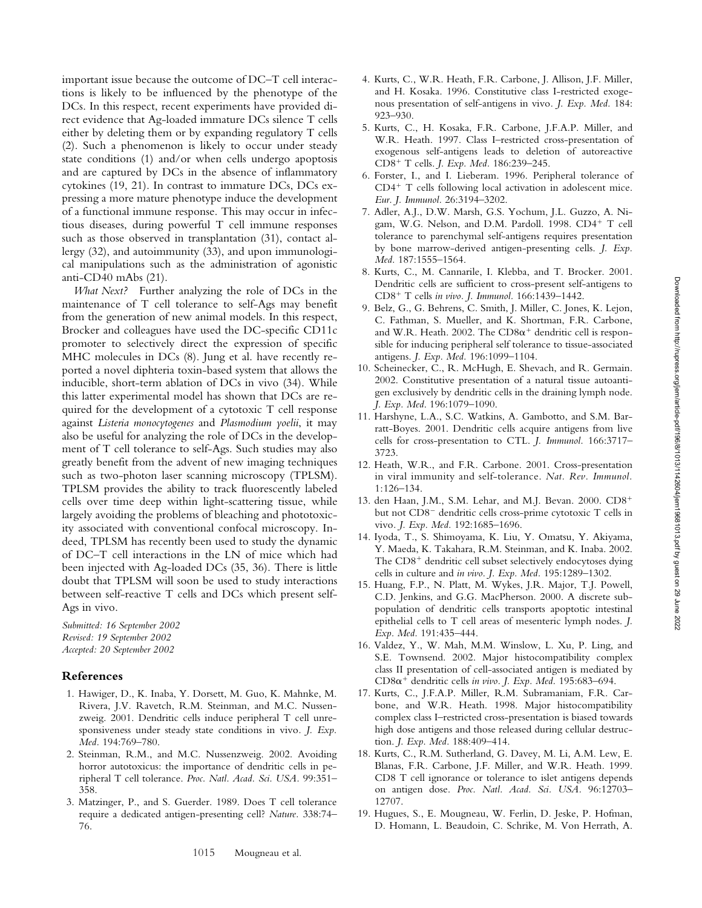important issue because the outcome of DC–T cell interactions is likely to be influenced by the phenotype of the DCs. In this respect, recent experiments have provided direct evidence that Ag-loaded immature DCs silence T cells either by deleting them or by expanding regulatory T cells (2). Such a phenomenon is likely to occur under steady state conditions (1) and/or when cells undergo apoptosis and are captured by DCs in the absence of inflammatory cytokines (19, 21). In contrast to immature DCs, DCs expressing a more mature phenotype induce the development of a functional immune response. This may occur in infectious diseases, during powerful T cell immune responses such as those observed in transplantation (31), contact allergy (32), and autoimmunity (33), and upon immunological manipulations such as the administration of agonistic anti-CD40 mAbs (21).

*What Next?* Further analyzing the role of DCs in the maintenance of T cell tolerance to self-Ags may benefit from the generation of new animal models. In this respect, Brocker and colleagues have used the DC-specific CD11c promoter to selectively direct the expression of specific MHC molecules in DCs (8). Jung et al. have recently reported a novel diphteria toxin-based system that allows the inducible, short-term ablation of DCs in vivo (34). While this latter experimental model has shown that DCs are required for the development of a cytotoxic T cell response against *Listeria monocytogenes* and *Plasmodium yoelii*, it may also be useful for analyzing the role of DCs in the development of T cell tolerance to self-Ags. Such studies may also greatly benefit from the advent of new imaging techniques such as two-photon laser scanning microscopy (TPLSM). TPLSM provides the ability to track fluorescently labeled cells over time deep within light-scattering tissue, while largely avoiding the problems of bleaching and phototoxicity associated with conventional confocal microscopy. Indeed, TPLSM has recently been used to study the dynamic of DC–T cell interactions in the LN of mice which had been injected with Ag-loaded DCs (35, 36). There is little doubt that TPLSM will soon be used to study interactions between self-reactive T cells and DCs which present self-Ags in vivo.

*Submitted: 16 September 2002 Revised: 19 September 2002 Accepted: 20 September 2002*

## **References**

- 1. Hawiger, D., K. Inaba, Y. Dorsett, M. Guo, K. Mahnke, M. Rivera, J.V. Ravetch, R.M. Steinman, and M.C. Nussenzweig. 2001. Dendritic cells induce peripheral T cell unresponsiveness under steady state conditions in vivo*. J. Exp. Med.* 194:769–780.
- 2. Steinman, R.M., and M.C. Nussenzweig. 2002. Avoiding horror autotoxicus: the importance of dendritic cells in peripheral T cell tolerance. *Proc. Natl. Acad. Sci. USA.* 99:351– 358.
- 3. Matzinger, P., and S. Guerder. 1989. Does T cell tolerance require a dedicated antigen-presenting cell? *Nature.* 338:74– 76.
- 4. Kurts, C., W.R. Heath, F.R. Carbone, J. Allison, J.F. Miller, and H. Kosaka. 1996. Constitutive class I-restricted exogenous presentation of self-antigens in vivo*. J. Exp. Med.* 184: 923–930.
- 5. Kurts, C., H. Kosaka, F.R. Carbone, J.F.A.P. Miller, and W.R. Heath. 1997. Class I–restricted cross-presentation of exogenous self-antigens leads to deletion of autoreactive CD8 T cells. *J. Exp. Med.* 186:239–245.
- 6. Forster, I., and I. Lieberam. 1996. Peripheral tolerance of  $CD4^+$  T cells following local activation in adolescent mice. *Eur. J. Immunol.* 26:3194–3202.
- 7. Adler, A.J., D.W. Marsh, G.S. Yochum, J.L. Guzzo, A. Nigam, W.G. Nelson, and D.M. Pardoll. 1998.  $CD4^+$  T cell tolerance to parenchymal self-antigens requires presentation by bone marrow-derived antigen-presenting cells. *J. Exp. Med.* 187:1555–1564.
- 8. Kurts, C., M. Cannarile, I. Klebba, and T. Brocker. 2001. Dendritic cells are sufficient to cross-present self-antigens to CD8 T cells *in vivo. J. Immunol.* 166:1439–1442.
- 9. Belz, G., G. Behrens, C. Smith, J. Miller, C. Jones, K. Lejon, C. Fathman, S. Mueller, and K. Shortman, F.R. Carbone, and W.R. Heath. 2002. The  $CD8\alpha^+$  dendritic cell is responsible for inducing peripheral self tolerance to tissue-associated antigens. *J. Exp. Med.* 196:1099–1104.
- 10. Scheinecker, C., R. McHugh, E. Shevach, and R. Germain. 2002. Constitutive presentation of a natural tissue autoantigen exclusively by dendritic cells in the draining lymph node. *J. Exp. Med*. 196:1079–1090.
- 11. Harshyne, L.A., S.C. Watkins, A. Gambotto, and S.M. Barratt-Boyes. 2001. Dendritic cells acquire antigens from live cells for cross-presentation to CTL. *J. Immunol.* 166:3717– 3723.
- 12. Heath, W.R., and F.R. Carbone. 2001. Cross-presentation in viral immunity and self-tolerance. *Nat. Rev. Immunol.* 1:126–134.
- 13. den Haan, J.M., S.M. Lehar, and M.J. Bevan. 2000. CD8 but not  $CD8^-$  dendritic cells cross-prime cytotoxic T cells in vivo*. J. Exp. Med.* 192:1685–1696.
- 14. Iyoda, T., S. Shimoyama, K. Liu, Y. Omatsu, Y. Akiyama, Y. Maeda, K. Takahara, R.M. Steinman, and K. Inaba. 2002. The  $CD8<sup>+</sup>$  dendritic cell subset selectively endocytoses dying cells in culture and *in vivo. J. Exp. Med.* 195:1289–1302.
- 15. Huang, F.P., N. Platt, M. Wykes, J.R. Major, T.J. Powell, C.D. Jenkins, and G.G. MacPherson. 2000. A discrete subpopulation of dendritic cells transports apoptotic intestinal epithelial cells to T cell areas of mesenteric lymph nodes. *J. Exp. Med.* 191:435–444.
- 16. Valdez, Y., W. Mah, M.M. Winslow, L. Xu, P. Ling, and S.E. Townsend. 2002. Major histocompatibility complex class II presentation of cell-associated antigen is mediated by  $CD8\alpha^+$  dendritic cells in vivo. J. Exp. Med. 195:683-694.
- 17. Kurts, C., J.F.A.P. Miller, R.M. Subramaniam, F.R. Carbone, and W.R. Heath. 1998. Major histocompatibility complex class I–restricted cross-presentation is biased towards high dose antigens and those released during cellular destruction. *J. Exp. Med.* 188:409–414.
- 18. Kurts, C., R.M. Sutherland, G. Davey, M. Li, A.M. Lew, E. Blanas, F.R. Carbone, J.F. Miller, and W.R. Heath. 1999. CD8 T cell ignorance or tolerance to islet antigens depends on antigen dose. *Proc. Natl. Acad. Sci. USA.* 96:12703– 12707.
- 19. Hugues, S., E. Mougneau, W. Ferlin, D. Jeske, P. Hofman, D. Homann, L. Beaudoin, C. Schrike, M. Von Herrath, A.